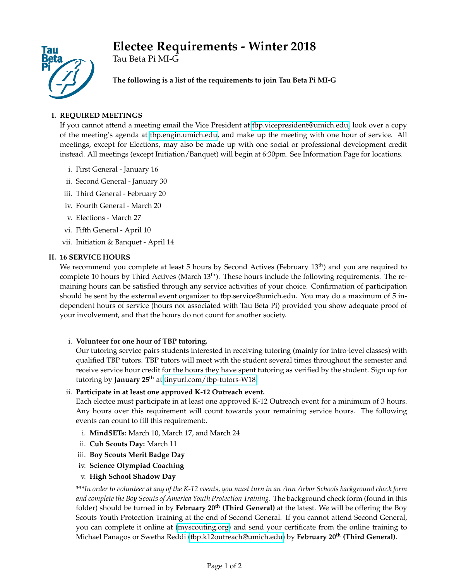# **Electee Requirements - Winter 2018**



Tau Beta Pi MI-G

**The following is a list of the requirements to join Tau Beta Pi MI-G**

# **I. REQUIRED MEETINGS**

If you cannot attend a meeting email the Vice President at [tbp.vicepresident@umich.edu,](mailto:tbp.vicepresident@umich.edu) look over a copy of the meeting's agenda at [tbp.engin.umich.edu,](http://tbp.engin.umich.edu) and make up the meeting with one hour of service. All meetings, except for Elections, may also be made up with one social or professional development credit instead. All meetings (except Initiation/Banquet) will begin at 6:30pm. See Information Page for locations.

- i. First General January 16
- ii. Second General January 30
- iii. Third General February 20
- iv. Fourth General March 20
- v. Elections March 27
- vi. Fifth General April 10
- vii. Initiation & Banquet April 14

## **II. 16 SERVICE HOURS**

We recommend you complete at least 5 hours by Second Actives (February 13<sup>th</sup>) and you are required to complete 10 hours by Third Actives (March  $13<sup>th</sup>$ ). These hours include the following requirements. The remaining hours can be satisfied through any service activities of your choice. Confirmation of participation should be sent by the external event organizer to tbp.service@umich.edu. You may do a maximum of 5 independent hours of service (hours not associated with Tau Beta Pi) provided you show adequate proof of your involvement, and that the hours do not count for another society.

## i. **Volunteer for one hour of TBP tutoring.**

Our tutoring service pairs students interested in receiving tutoring (mainly for intro-level classes) with qualified TBP tutors. TBP tutors will meet with the student several times throughout the semester and receive service hour credit for the hours they have spent tutoring as verified by the student. Sign up for tutoring by **January 25th** at [tinyurl.com/tbp-tutors-W18.](https://tinyurl.com/tbp-tutors-W18)

# ii. **Participate in at least one approved K-12 Outreach event.**

Each electee must participate in at least one approved K-12 Outreach event for a minimum of 3 hours. Any hours over this requirement will count towards your remaining service hours. The following events can count to fill this requirement:.

- i. **MindSETs:** March 10, March 17, and March 24
- ii. **Cub Scouts Day:** March 11
- iii. **Boy Scouts Merit Badge Day**
- iv. **Science Olympiad Coaching**
- v. **High School Shadow Day**

\*\*\**In order to volunteer at any of the K-12 events, you must turn in an Ann Arbor Schools background check form and complete the Boy Scouts of America Youth Protection Training.* The background check form (found in this folder) should be turned in by **February 20th (Third General)** at the latest. We will be offering the Boy Scouts Youth Protection Training at the end of Second General. If you cannot attend Second General, you can complete it online at [\(myscouting.org\)](mailto:myscouting.org ) and send your certificate from the online training to Michael Panagos or Swetha Reddi [\(tbp.k12outreach@umich.edu\)](mailto:tbp.k12outreach@umich.edu ) by **February 20th (Third General)**.